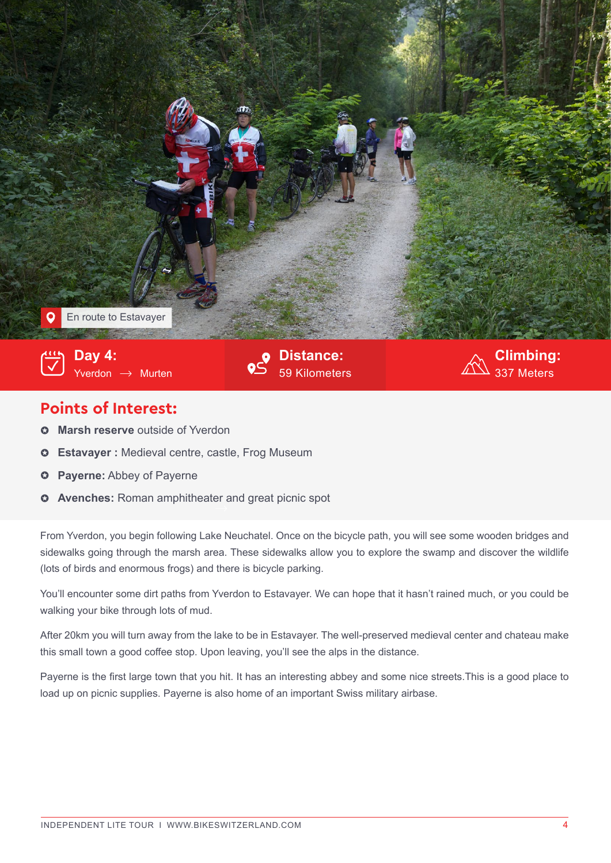

## **Points of Interest:**

- $\circ$  Marsh reserve outside of Yverdon
- ! **Estavayer :** Medieval centre, castle, Frog Museum
- **Payerne:** Abbey of Payerne  $\ddot{\mathbf{c}}$
- **Avenches:** Roman amphitheater and great picnic spot

From Yverdon, you begin following Lake Neuchatel. Once on the bicycle path, you will see some wooden bridges and sidewalks going through the marsh area. These sidewalks allow you to explore the swamp and discover the wildlife (lots of birds and enormous frogs) and there is bicycle parking.

You'll encounter some dirt paths from Yverdon to Estavayer. We can hope that it hasn't rained much, or you could be walking your bike through lots of mud.

After 20km you will turn away from the lake to be in Estavayer. The well-preserved medieval center and chateau make this small town a good coffee stop. Upon leaving, you'll see the alps in the distance.

Payerne is the first large town that you hit. It has an interesting abbey and some nice streets.This is a good place to load up on picnic supplies. Payerne is also home of an important Swiss military airbase.